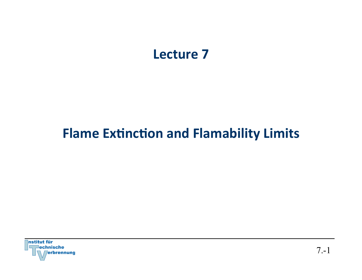## Lecture 7

## **Flame Extinction and Flamability Limits**

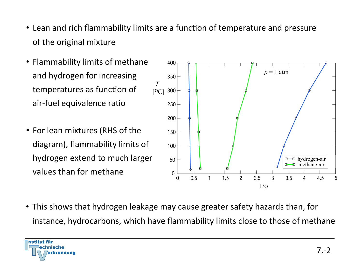- Lean and rich flammability limits are a function of temperature and pressure of the original mixture
- Flammability limits of methane and hydrogen for increasing temperatures as function of air-fuel equivalence ratio
- For lean mixtures (RHS of the diagram), flammability limits of hydrogen extend to much larger values than for methane



• This shows that hydrogen leakage may cause greater safety hazards than, for instance, hydrocarbons, which have flammability limits close to those of methane

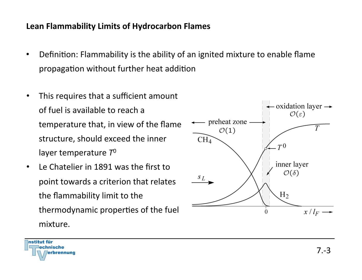## Lean Flammability Limits of Hydrocarbon Flames

- Definition: Flammability is the ability of an ignited mixture to enable flame propagation without further heat addition
- This requires that a sufficient amount of fuel is available to reach a temperature that, in view of the flame structure, should exceed the inner layer temperature  $T^0$
- Le Chatelier in 1891 was the first to point towards a criterion that relates the flammability limit to the thermodynamic properties of the fuel mixture.



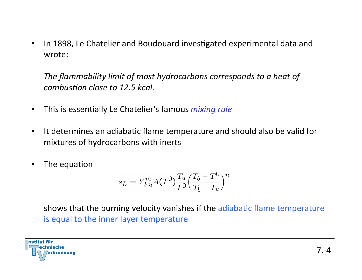• In 1898, Le Chatelier and Boudouard investigated experimental data and wrote: 

The flammability limit of most hydrocarbons corresponds to a heat of *combustion close to 12.5 kcal.* 

- This is essentially Le Chatelier's famous *mixing rule*
- It determines an adiabatic flame temperature and should also be valid for mixtures of hydrocarbons with inerts
- The equation

$$
s_L = Y_{Fu}^m A(T^0) \frac{T_u}{T^0} \left(\frac{T_b - T^0}{T_b - T_u}\right)^n
$$

shows that the burning velocity vanishes if the adiabatic flame temperature is equal to the inner layer temperature

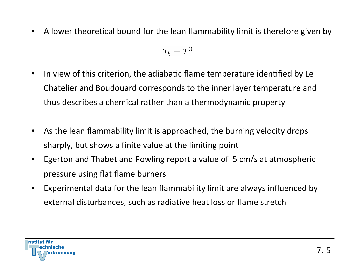• A lower theoretical bound for the lean flammability limit is therefore given by

$$
T_b = T^0
$$

- In view of this criterion, the adiabatic flame temperature identified by Le Chatelier and Boudouard corresponds to the inner layer temperature and thus describes a chemical rather than a thermodynamic property
- As the lean flammability limit is approached, the burning velocity drops sharply, but shows a finite value at the limiting point
- Egerton and Thabet and Powling report a value of 5 cm/s at atmospheric pressure using flat flame burners
- Experimental data for the lean flammability limit are always influenced by external disturbances, such as radiative heat loss or flame stretch

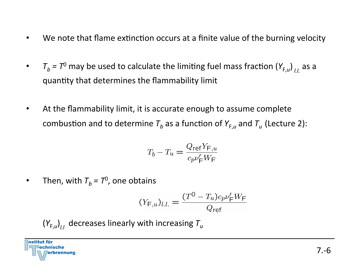- We note that flame extinction occurs at a finite value of the burning velocity
- $T_b = T^0$  may be used to calculate the limiting fuel mass fraction  $(Y_{F,u})_{L}$  as a quantity that determines the flammability limit
- At the flammability limit, it is accurate enough to assume complete combustion and to determine  $T_b$  as a function of  $Y_{F,u}$  and  $T_u$  (Lecture 2):

$$
T_b - T_u = \frac{Q_{\text{ref}} Y_{\text{F},u}}{c_p \nu_\text{F}' W_\text{F}}
$$

• Then, with  $T_h = T^0$ , one obtains

$$
(Y_{\mathsf{F},u})_{l.l.} = \frac{(T^0 - T_u)c_p\nu_{\mathsf{F}}'W_{\mathsf{F}}}{Q_{\mathsf{ref}}}
$$

$$
\left(Y_{F,u}\right)_{l,l}
$$
 decreases linearly with increasing  $T_u$